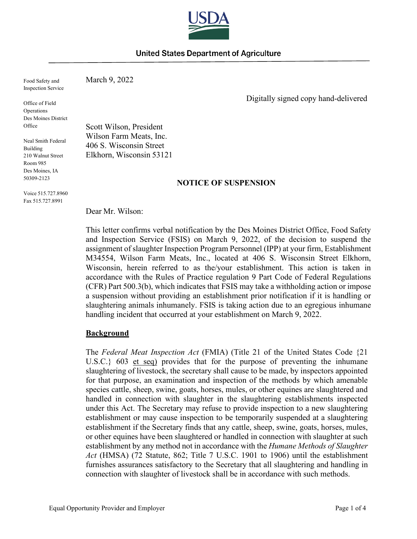

# United States Department of Agriculture

 Inspection Service Food Safety and

Office of Field Operations Des Moines District **Office** 

 210 Walnut Street Room 985 Neal Smith Federal Building Des Moines, IA 50309-2123

Voice 515.727.8960 Fax 515.727.8991

March 9, 2022

Digitally signed copy hand-delivered

Scott Wilson, President Wilson Farm Meats, Inc. 406 S. Wisconsin Street Elkhorn, Wisconsin 53121

# **NOTICE OF SUSPENSION**

Dear Mr. Wilson:

 and Inspection Service (FSIS) on March 9, 2022, of the decision to suspend the assignment of slaughter Inspection Program Personnel (IPP) at your firm, Establishment M34554, Wilson Farm Meats, Inc., located at 406 S. Wisconsin Street Elkhorn, Wisconsin, herein referred to as the/your establishment. This action is taken in (CFR) Part 500.3(b), which indicates that FSIS may take a withholding action or impose handling incident that occurred at your establishment on March 9, 2022. This letter confirms verbal notification by the Des Moines District Office, Food Safety accordance with the Rules of Practice regulation 9 Part Code of Federal Regulations a suspension without providing an establishment prior notification if it is handling or slaughtering animals inhumanely. FSIS is taking action due to an egregious inhumane

### **Background**

U.S.C.} 603 et seq) provides that for the purpose of preventing the inhumane slaughtering of livestock, the secretary shall cause to be made, by inspectors appointed or other equines have been slaughtered or handled in connection with slaughter at such establishment by any method not in accordance with the *Humane Methods of Slaughter Act* (HMSA) (72 Statute, 862; Title 7 U.S.C. 1901 to 1906) until the establishment connection with slaughter of livestock shall be in accordance with such methods. The *Federal Meat Inspection Act* (FMIA) (Title 21 of the United States Code {21 for that purpose, an examination and inspection of the methods by which amenable species cattle, sheep, swine, goats, horses, mules, or other equines are slaughtered and handled in connection with slaughter in the slaughtering establishments inspected under this Act. The Secretary may refuse to provide inspection to a new slaughtering establishment or may cause inspection to be temporarily suspended at a slaughtering establishment if the Secretary finds that any cattle, sheep, swine, goats, horses, mules, furnishes assurances satisfactory to the Secretary that all slaughtering and handling in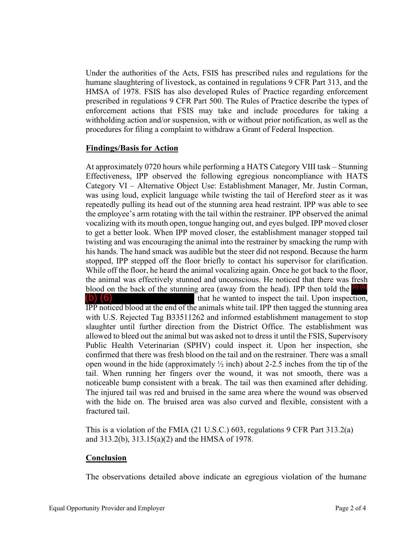enforcement actions that FSIS may take and include procedures for taking a withholding action and/or suspension, with or without prior notification, as well as the procedures for filing a complaint to withdraw a Grant of Federal Inspection. Under the authorities of the Acts, FSIS has prescribed rules and regulations for the humane slaughtering of livestock, as contained in regulations 9 CFR Part 313, and the HMSA of 1978. FSIS has also developed Rules of Practice regarding enforcement prescribed in regulations 9 CFR Part 500. The Rules of Practice describe the types of

# **Findings/Basis for Action**

 At approximately 0720 hours while performing a HATS Category VIII task – Stunning Effectiveness, IPP observed the following egregious noncompliance with HATS was using loud, explicit language while twisting the tail of Hereford steer as it was repeatedly pulling its head out of the stunning area head restraint. IPP was able to see the employee's arm rotating with the tail within the restrainer. IPP observed the animal vocalizing with its mouth open, tongue hanging out, and eyes bulged. IPP moved closer twisting and was encouraging the animal into the restrainer by smacking the rump with his hands. The hand smack was audible but the steer did not respond. Because the harm While off the floor, he heard the animal vocalizing again. Once he got back to the floor, while of the floor, he heard the animal vocalizing again. Once he got back to the floor, the animal was effectively stunned and unconscious. He noticed that there was fresh blood on the back of the stunning area (away fro Category VI – Alternative Object Use: Establishment Manager, Mr. Justin Corman, to get a better look. When IPP moved closer, the establishment manager stopped tail stopped, IPP stepped off the floor briefly to contact his supervisor for clarification. the animal was effectively stunned and unconscious. He noticed that there was fresh blood on the back of the stunning area (away from the head). IPP then told the  $\left(6\right)$ (b) (6) that he wanted to inspect the tail. Upon inspection, with U.S. Rejected Tag B33511262 and informed establishment management to stop

 slaughter until further direction from the District Office. The establishment was allowed to bleed out the animal but was asked not to dress it until the FSIS, Supervisory Public Health Veterinarian (SPHV) could inspect it. Upon her inspection, she confirmed that there was fresh blood on the tail and on the restrainer. There was a small tail. When running her fingers over the wound, it was not smooth, there was a fractured tail. open wound in the hide (approximately  $\frac{1}{2}$  inch) about 2-2.5 inches from the tip of the noticeable bump consistent with a break. The tail was then examined after dehiding. The injured tail was red and bruised in the same area where the wound was observed with the hide on. The bruised area was also curved and flexible, consistent with a

 This is a violation of the FMIA (21 U.S.C.) 603, regulations 9 CFR Part 313.2(a) and 313.2(b), 313.15(a)(2) and the HMSA of 1978.

### **Conclusion**

The observations detailed above indicate an egregious violation of the humane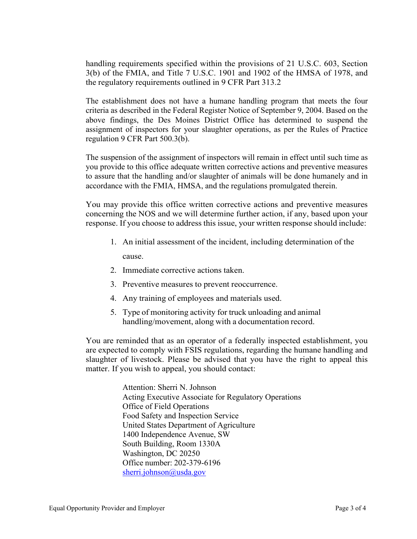3(b) of the FMIA, and Title 7 U.S.C. 1901 and 1902 of the HMSA of 1978, and the regulatory requirements outlined in 9 CFR Part 313.2 handling requirements specified within the provisions of 21 U.S.C. 603, Section

 criteria as described in the Federal Register Notice of September 9, 2004. Based on the above findings, the Des Moines District Office has determined to suspend the The establishment does not have a humane handling program that meets the four assignment of inspectors for your slaughter operations, as per the Rules of Practice regulation 9 CFR Part 500.3(b).

 The suspension of the assignment of inspectors will remain in effect until such time as accordance with the FMIA, HMSA, and the regulations promulgated therein. you provide to this office adequate written corrective actions and preventive measures to assure that the handling and/or slaughter of animals will be done humanely and in

 concerning the NOS and we will determine further action, if any, based upon your response. If you choose to address this issue, your written response should include: You may provide this office written corrective actions and preventive measures

- 1. An initial assessment of the incident, including determination of the cause.
- 2. Immediate corrective actions taken.
- 3. Preventive measures to prevent reoccurrence.
- 4. Any training of employees and materials used.
- 5. Type of monitoring activity for truck unloading and animal handling/movement, along with a documentation record.

 are expected to comply with FSIS regulations, regarding the humane handling and slaughter of livestock. Please be advised that you have the right to appeal this matter. If you wish to appeal, you should contact: You are reminded that as an operator of a federally inspected establishment, you

> Attention: Sherri N. Johnson Office of Field Operations United States Department of Agriculture Office number: 202-379-6196 Acting Executive Associate for Regulatory Operations Food Safety and Inspection Service 1400 Independence Avenue, SW South Building, Room 1330A Washington, DC 20250 [sherri.johnson@usda.gov](mailto:sherri.johnson@usda.gov)